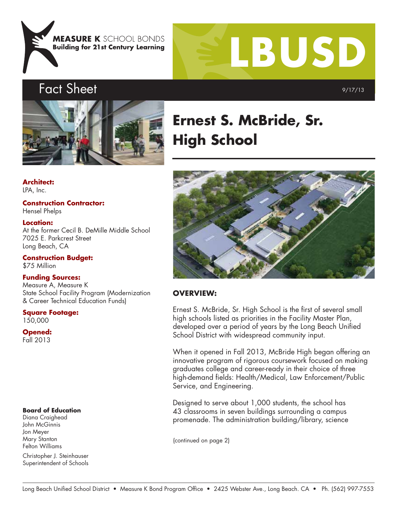



# Fact Sheet



**Architect:** LPA, Inc.

**Construction Contractor:** Hensel Phelps **Location:** At the former Cecil B. DeMille Middle School

7025 E. Parkcrest Street Long Beach, CA

**Construction Budget:** \$75 Million

#### **Funding Sources:**

Measure A, Measure K State School Facility Program (Modernization & Career Technical Education Funds)

**Square Footage:** 150,000

**Opened:** Fall 2013

#### **Board of Education**

Diana Craighead John McGinnis Jon Meyer Mary Stanton Felton Williams

Christopher J. Steinhauser Superintendent of Schools

# **Ernest S. McBride, Sr. High School**



#### **OVERVIEW:**

Ernest S. McBride, Sr. High School is the first of several small high schools listed as priorities in the Facility Master Plan, developed over a period of years by the Long Beach Unified School District with widespread community input.

When it opened in Fall 2013, McBride High began offering an innovative program of rigorous coursework focused on making graduates college and career-ready in their choice of three high-demand fields: Health/Medical, Law Enforcement/Public Service, and Engineering.

Designed to serve about 1,000 students, the school has 43 classrooms in seven buildings surrounding a campus promenade. The administration building/library, science

(continued on page 2)